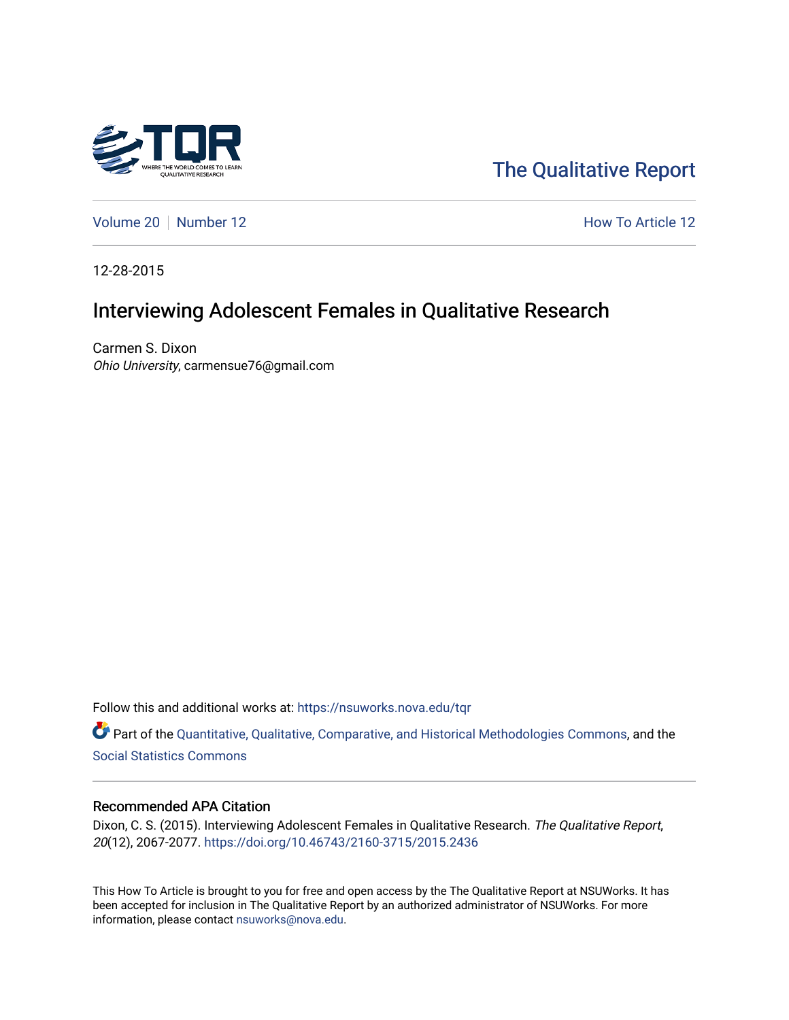

[The Qualitative Report](https://nsuworks.nova.edu/tqr) 

[Volume 20](https://nsuworks.nova.edu/tqr/vol20) | [Number 12](https://nsuworks.nova.edu/tqr/vol20/iss12) **How To Article 12** How To Article 12

12-28-2015

# Interviewing Adolescent Females in Qualitative Research

Carmen S. Dixon Ohio University, carmensue76@gmail.com

Follow this and additional works at: [https://nsuworks.nova.edu/tqr](https://nsuworks.nova.edu/tqr?utm_source=nsuworks.nova.edu%2Ftqr%2Fvol20%2Fiss12%2F12&utm_medium=PDF&utm_campaign=PDFCoverPages) 

Part of the [Quantitative, Qualitative, Comparative, and Historical Methodologies Commons,](http://network.bepress.com/hgg/discipline/423?utm_source=nsuworks.nova.edu%2Ftqr%2Fvol20%2Fiss12%2F12&utm_medium=PDF&utm_campaign=PDFCoverPages) and the [Social Statistics Commons](http://network.bepress.com/hgg/discipline/1275?utm_source=nsuworks.nova.edu%2Ftqr%2Fvol20%2Fiss12%2F12&utm_medium=PDF&utm_campaign=PDFCoverPages) 

## Recommended APA Citation

Dixon, C. S. (2015). Interviewing Adolescent Females in Qualitative Research. The Qualitative Report, 20(12), 2067-2077. <https://doi.org/10.46743/2160-3715/2015.2436>

This How To Article is brought to you for free and open access by the The Qualitative Report at NSUWorks. It has been accepted for inclusion in The Qualitative Report by an authorized administrator of NSUWorks. For more information, please contact [nsuworks@nova.edu.](mailto:nsuworks@nova.edu)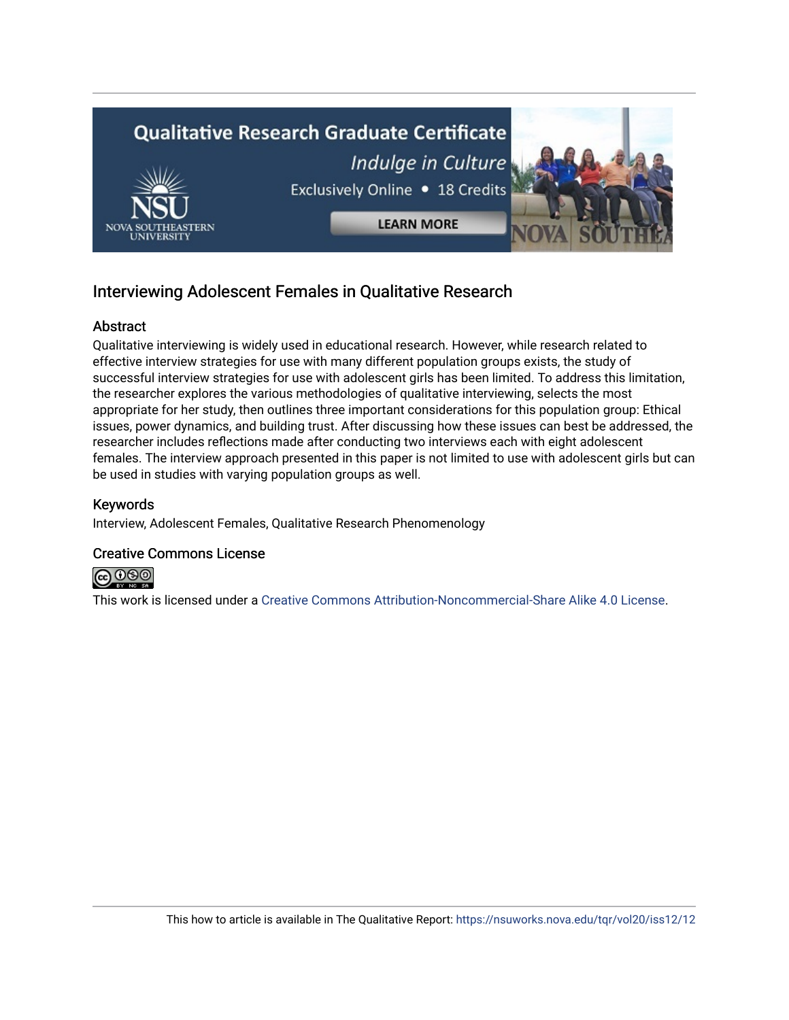

## Interviewing Adolescent Females in Qualitative Research

## **Abstract**

Qualitative interviewing is widely used in educational research. However, while research related to effective interview strategies for use with many different population groups exists, the study of successful interview strategies for use with adolescent girls has been limited. To address this limitation, the researcher explores the various methodologies of qualitative interviewing, selects the most appropriate for her study, then outlines three important considerations for this population group: Ethical issues, power dynamics, and building trust. After discussing how these issues can best be addressed, the researcher includes reflections made after conducting two interviews each with eight adolescent females. The interview approach presented in this paper is not limited to use with adolescent girls but can be used in studies with varying population groups as well.

## Keywords

Interview, Adolescent Females, Qualitative Research Phenomenology

## Creative Commons License



This work is licensed under a [Creative Commons Attribution-Noncommercial-Share Alike 4.0 License](https://creativecommons.org/licenses/by-nc-sa/4.0/).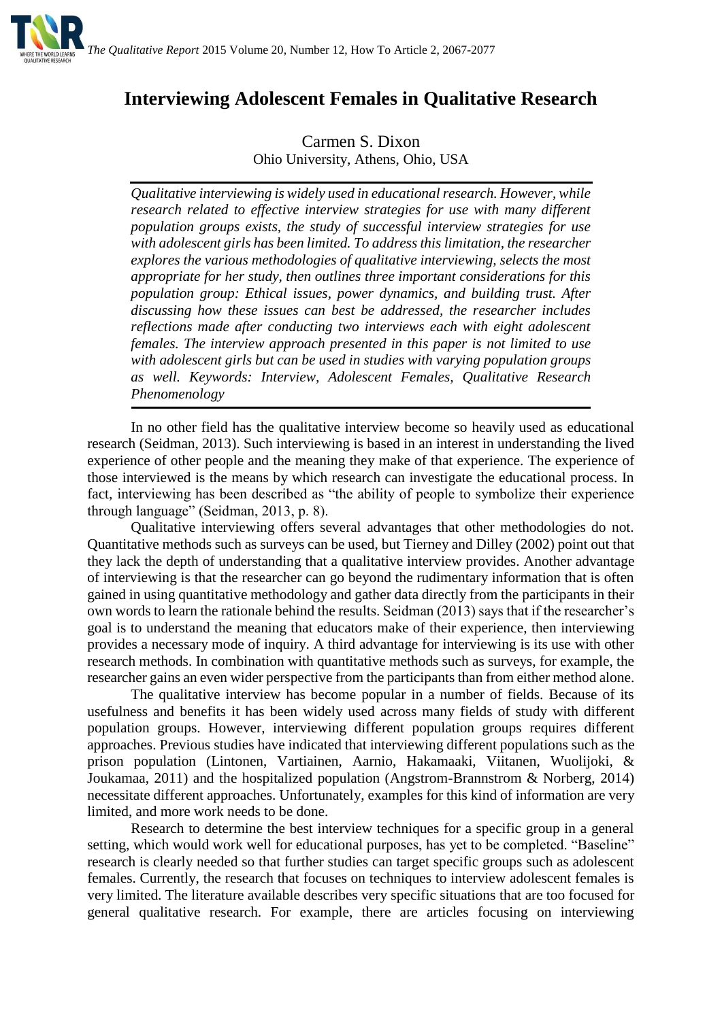

## **Interviewing Adolescent Females in Qualitative Research**

Carmen S. Dixon Ohio University, Athens, Ohio, USA

*Qualitative interviewing is widely used in educational research. However, while research related to effective interview strategies for use with many different population groups exists, the study of successful interview strategies for use with adolescent girls has been limited. To address this limitation, the researcher explores the various methodologies of qualitative interviewing, selects the most appropriate for her study, then outlines three important considerations for this population group: Ethical issues, power dynamics, and building trust. After discussing how these issues can best be addressed, the researcher includes reflections made after conducting two interviews each with eight adolescent females. The interview approach presented in this paper is not limited to use with adolescent girls but can be used in studies with varying population groups as well. Keywords: Interview, Adolescent Females, Qualitative Research Phenomenology*

In no other field has the qualitative interview become so heavily used as educational research (Seidman, 2013). Such interviewing is based in an interest in understanding the lived experience of other people and the meaning they make of that experience. The experience of those interviewed is the means by which research can investigate the educational process. In fact, interviewing has been described as "the ability of people to symbolize their experience through language" (Seidman, 2013, p. 8).

Qualitative interviewing offers several advantages that other methodologies do not. Quantitative methods such as surveys can be used, but Tierney and Dilley (2002) point out that they lack the depth of understanding that a qualitative interview provides. Another advantage of interviewing is that the researcher can go beyond the rudimentary information that is often gained in using quantitative methodology and gather data directly from the participants in their own words to learn the rationale behind the results. Seidman (2013) says that if the researcher's goal is to understand the meaning that educators make of their experience, then interviewing provides a necessary mode of inquiry. A third advantage for interviewing is its use with other research methods. In combination with quantitative methods such as surveys, for example, the researcher gains an even wider perspective from the participants than from either method alone.

The qualitative interview has become popular in a number of fields. Because of its usefulness and benefits it has been widely used across many fields of study with different population groups. However, interviewing different population groups requires different approaches. Previous studies have indicated that interviewing different populations such as the prison population (Lintonen, Vartiainen, Aarnio, Hakamaaki, Viitanen, Wuolijoki, & Joukamaa, 2011) and the hospitalized population (Angstrom-Brannstrom & Norberg, 2014) necessitate different approaches. Unfortunately, examples for this kind of information are very limited, and more work needs to be done.

Research to determine the best interview techniques for a specific group in a general setting, which would work well for educational purposes, has yet to be completed. "Baseline" research is clearly needed so that further studies can target specific groups such as adolescent females. Currently, the research that focuses on techniques to interview adolescent females is very limited. The literature available describes very specific situations that are too focused for general qualitative research. For example, there are articles focusing on interviewing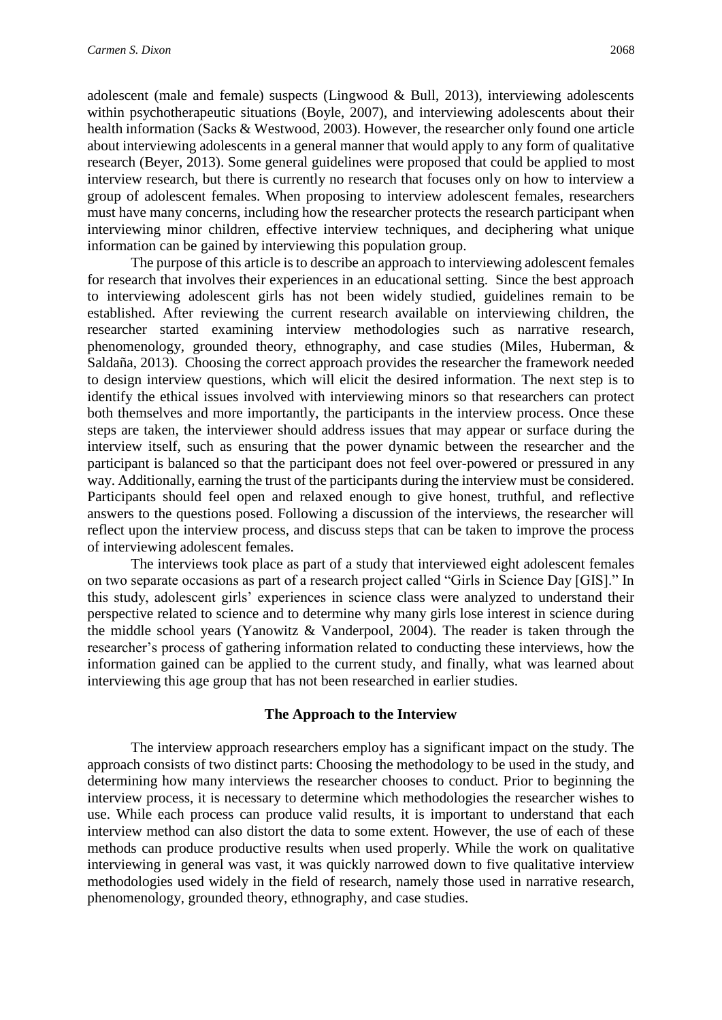adolescent (male and female) suspects (Lingwood & Bull, 2013), interviewing adolescents within psychotherapeutic situations (Boyle, 2007), and interviewing adolescents about their health information (Sacks & Westwood, 2003). However, the researcher only found one article about interviewing adolescents in a general manner that would apply to any form of qualitative research (Beyer, 2013). Some general guidelines were proposed that could be applied to most interview research, but there is currently no research that focuses only on how to interview a group of adolescent females. When proposing to interview adolescent females, researchers must have many concerns, including how the researcher protects the research participant when interviewing minor children, effective interview techniques, and deciphering what unique information can be gained by interviewing this population group.

The purpose of this article is to describe an approach to interviewing adolescent females for research that involves their experiences in an educational setting. Since the best approach to interviewing adolescent girls has not been widely studied, guidelines remain to be established. After reviewing the current research available on interviewing children, the researcher started examining interview methodologies such as narrative research, phenomenology, grounded theory, ethnography, and case studies (Miles, Huberman, & Saldaña, 2013). Choosing the correct approach provides the researcher the framework needed to design interview questions, which will elicit the desired information. The next step is to identify the ethical issues involved with interviewing minors so that researchers can protect both themselves and more importantly, the participants in the interview process. Once these steps are taken, the interviewer should address issues that may appear or surface during the interview itself, such as ensuring that the power dynamic between the researcher and the participant is balanced so that the participant does not feel over-powered or pressured in any way. Additionally, earning the trust of the participants during the interview must be considered. Participants should feel open and relaxed enough to give honest, truthful, and reflective answers to the questions posed. Following a discussion of the interviews, the researcher will reflect upon the interview process, and discuss steps that can be taken to improve the process of interviewing adolescent females.

The interviews took place as part of a study that interviewed eight adolescent females on two separate occasions as part of a research project called "Girls in Science Day [GIS]." In this study, adolescent girls' experiences in science class were analyzed to understand their perspective related to science and to determine why many girls lose interest in science during the middle school years (Yanowitz & Vanderpool, 2004). The reader is taken through the researcher's process of gathering information related to conducting these interviews, how the information gained can be applied to the current study, and finally, what was learned about interviewing this age group that has not been researched in earlier studies.

## **The Approach to the Interview**

The interview approach researchers employ has a significant impact on the study. The approach consists of two distinct parts: Choosing the methodology to be used in the study, and determining how many interviews the researcher chooses to conduct. Prior to beginning the interview process, it is necessary to determine which methodologies the researcher wishes to use. While each process can produce valid results, it is important to understand that each interview method can also distort the data to some extent. However, the use of each of these methods can produce productive results when used properly. While the work on qualitative interviewing in general was vast, it was quickly narrowed down to five qualitative interview methodologies used widely in the field of research, namely those used in narrative research, phenomenology, grounded theory, ethnography, and case studies.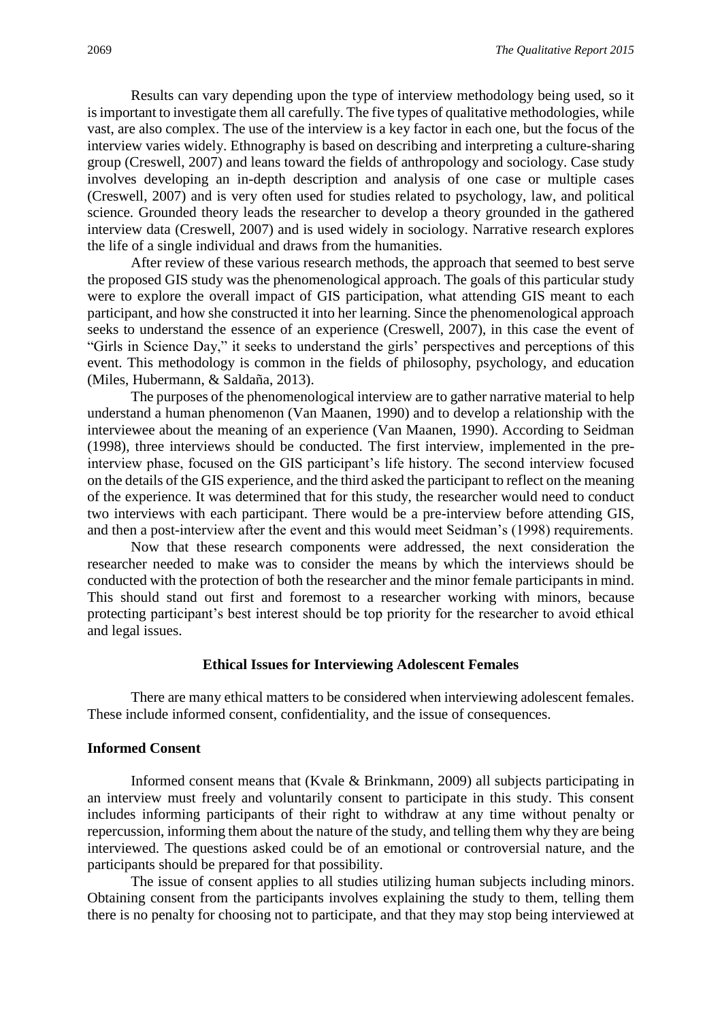Results can vary depending upon the type of interview methodology being used, so it is important to investigate them all carefully. The five types of qualitative methodologies, while vast, are also complex. The use of the interview is a key factor in each one, but the focus of the interview varies widely. Ethnography is based on describing and interpreting a culture-sharing group (Creswell, 2007) and leans toward the fields of anthropology and sociology. Case study involves developing an in-depth description and analysis of one case or multiple cases (Creswell, 2007) and is very often used for studies related to psychology, law, and political science. Grounded theory leads the researcher to develop a theory grounded in the gathered interview data (Creswell, 2007) and is used widely in sociology. Narrative research explores the life of a single individual and draws from the humanities.

After review of these various research methods, the approach that seemed to best serve the proposed GIS study was the phenomenological approach. The goals of this particular study were to explore the overall impact of GIS participation, what attending GIS meant to each participant, and how she constructed it into her learning. Since the phenomenological approach seeks to understand the essence of an experience (Creswell, 2007), in this case the event of "Girls in Science Day," it seeks to understand the girls' perspectives and perceptions of this event. This methodology is common in the fields of philosophy, psychology, and education (Miles, Hubermann, & Saldaña, 2013).

The purposes of the phenomenological interview are to gather narrative material to help understand a human phenomenon (Van Maanen, 1990) and to develop a relationship with the interviewee about the meaning of an experience (Van Maanen, 1990). According to Seidman (1998), three interviews should be conducted. The first interview, implemented in the preinterview phase, focused on the GIS participant's life history. The second interview focused on the details of the GIS experience, and the third asked the participant to reflect on the meaning of the experience. It was determined that for this study, the researcher would need to conduct two interviews with each participant. There would be a pre-interview before attending GIS, and then a post-interview after the event and this would meet Seidman's (1998) requirements.

Now that these research components were addressed, the next consideration the researcher needed to make was to consider the means by which the interviews should be conducted with the protection of both the researcher and the minor female participants in mind. This should stand out first and foremost to a researcher working with minors, because protecting participant's best interest should be top priority for the researcher to avoid ethical and legal issues.

#### **Ethical Issues for Interviewing Adolescent Females**

There are many ethical matters to be considered when interviewing adolescent females. These include informed consent, confidentiality, and the issue of consequences.

#### **Informed Consent**

Informed consent means that (Kvale & Brinkmann, 2009) all subjects participating in an interview must freely and voluntarily consent to participate in this study. This consent includes informing participants of their right to withdraw at any time without penalty or repercussion, informing them about the nature of the study, and telling them why they are being interviewed. The questions asked could be of an emotional or controversial nature, and the participants should be prepared for that possibility.

The issue of consent applies to all studies utilizing human subjects including minors. Obtaining consent from the participants involves explaining the study to them, telling them there is no penalty for choosing not to participate, and that they may stop being interviewed at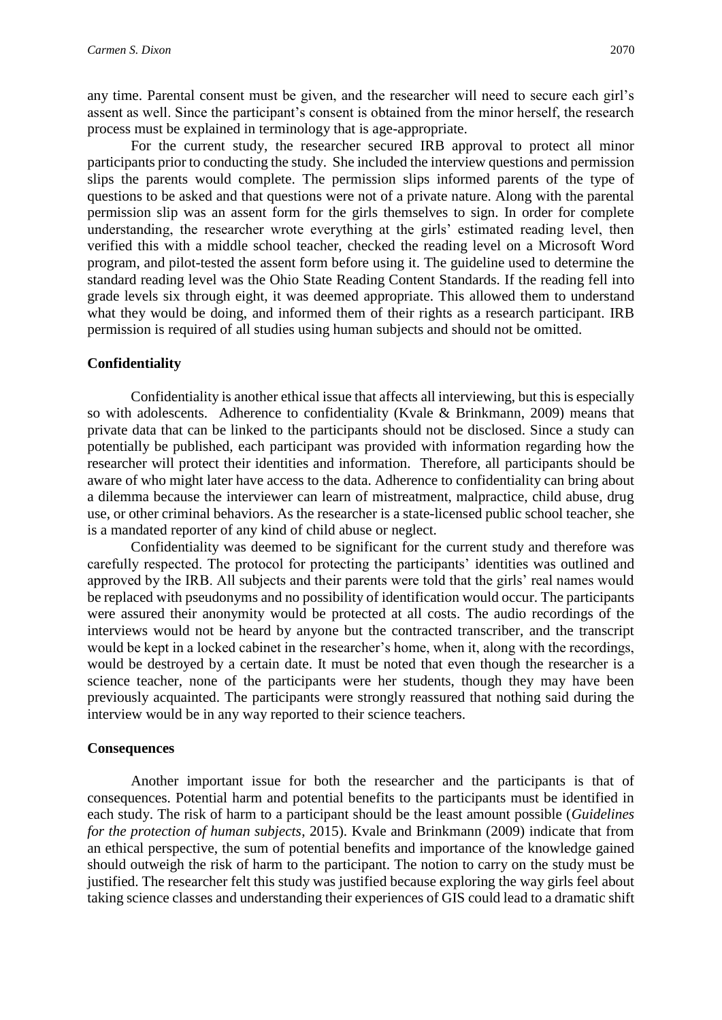any time. Parental consent must be given, and the researcher will need to secure each girl's assent as well. Since the participant's consent is obtained from the minor herself, the research process must be explained in terminology that is age-appropriate.

For the current study, the researcher secured IRB approval to protect all minor participants prior to conducting the study. She included the interview questions and permission slips the parents would complete. The permission slips informed parents of the type of questions to be asked and that questions were not of a private nature. Along with the parental permission slip was an assent form for the girls themselves to sign. In order for complete understanding, the researcher wrote everything at the girls' estimated reading level, then verified this with a middle school teacher, checked the reading level on a Microsoft Word program, and pilot-tested the assent form before using it. The guideline used to determine the standard reading level was the Ohio State Reading Content Standards. If the reading fell into grade levels six through eight, it was deemed appropriate. This allowed them to understand what they would be doing, and informed them of their rights as a research participant. IRB permission is required of all studies using human subjects and should not be omitted.

## **Confidentiality**

Confidentiality is another ethical issue that affects all interviewing, but this is especially so with adolescents. Adherence to confidentiality (Kvale & Brinkmann, 2009) means that private data that can be linked to the participants should not be disclosed. Since a study can potentially be published, each participant was provided with information regarding how the researcher will protect their identities and information. Therefore, all participants should be aware of who might later have access to the data. Adherence to confidentiality can bring about a dilemma because the interviewer can learn of mistreatment, malpractice, child abuse, drug use, or other criminal behaviors. As the researcher is a state-licensed public school teacher, she is a mandated reporter of any kind of child abuse or neglect.

Confidentiality was deemed to be significant for the current study and therefore was carefully respected. The protocol for protecting the participants' identities was outlined and approved by the IRB. All subjects and their parents were told that the girls' real names would be replaced with pseudonyms and no possibility of identification would occur. The participants were assured their anonymity would be protected at all costs. The audio recordings of the interviews would not be heard by anyone but the contracted transcriber, and the transcript would be kept in a locked cabinet in the researcher's home, when it, along with the recordings, would be destroyed by a certain date. It must be noted that even though the researcher is a science teacher, none of the participants were her students, though they may have been previously acquainted. The participants were strongly reassured that nothing said during the interview would be in any way reported to their science teachers.

## **Consequences**

Another important issue for both the researcher and the participants is that of consequences. Potential harm and potential benefits to the participants must be identified in each study. The risk of harm to a participant should be the least amount possible (*Guidelines for the protection of human subjects*, 2015). Kvale and Brinkmann (2009) indicate that from an ethical perspective, the sum of potential benefits and importance of the knowledge gained should outweigh the risk of harm to the participant. The notion to carry on the study must be justified. The researcher felt this study was justified because exploring the way girls feel about taking science classes and understanding their experiences of GIS could lead to a dramatic shift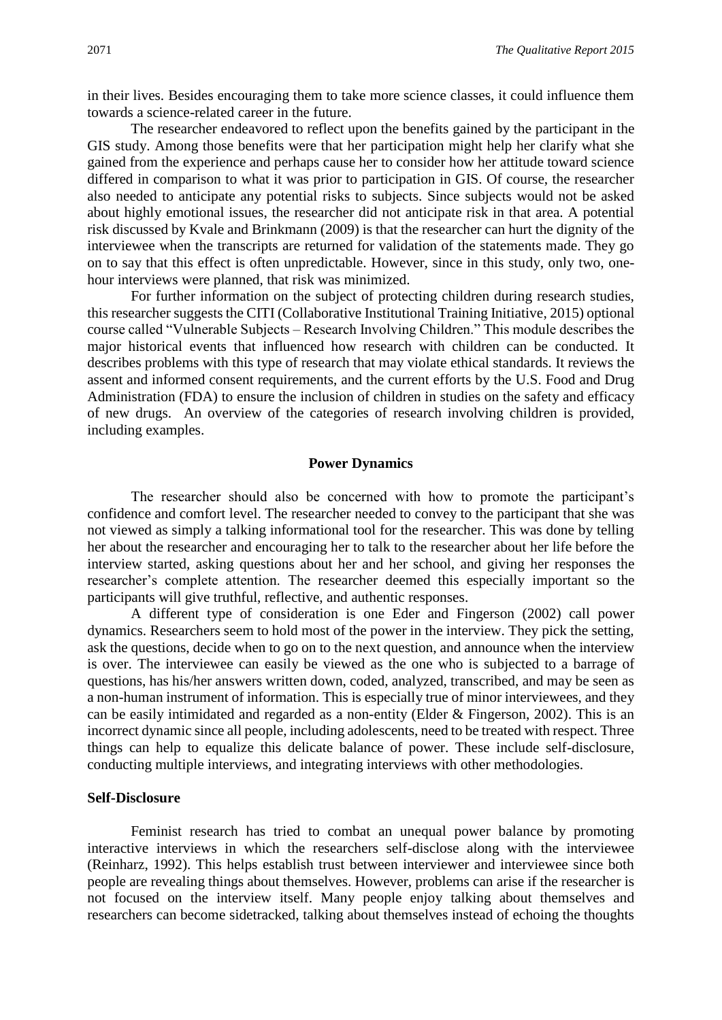in their lives. Besides encouraging them to take more science classes, it could influence them towards a science-related career in the future.

The researcher endeavored to reflect upon the benefits gained by the participant in the GIS study. Among those benefits were that her participation might help her clarify what she gained from the experience and perhaps cause her to consider how her attitude toward science differed in comparison to what it was prior to participation in GIS. Of course, the researcher also needed to anticipate any potential risks to subjects. Since subjects would not be asked about highly emotional issues, the researcher did not anticipate risk in that area. A potential risk discussed by Kvale and Brinkmann (2009) is that the researcher can hurt the dignity of the interviewee when the transcripts are returned for validation of the statements made. They go on to say that this effect is often unpredictable. However, since in this study, only two, onehour interviews were planned, that risk was minimized.

For further information on the subject of protecting children during research studies, this researcher suggests the CITI (Collaborative Institutional Training Initiative, 2015) optional course called "Vulnerable Subjects – Research Involving Children." This module describes the major historical events that influenced how research with children can be conducted. It describes problems with this type of research that may violate ethical standards. It reviews the assent and informed consent requirements, and the current efforts by the U.S. Food and Drug Administration (FDA) to ensure the inclusion of children in studies on the safety and efficacy of new drugs. An overview of the categories of research involving children is provided, including examples.

#### **Power Dynamics**

The researcher should also be concerned with how to promote the participant's confidence and comfort level. The researcher needed to convey to the participant that she was not viewed as simply a talking informational tool for the researcher. This was done by telling her about the researcher and encouraging her to talk to the researcher about her life before the interview started, asking questions about her and her school, and giving her responses the researcher's complete attention. The researcher deemed this especially important so the participants will give truthful, reflective, and authentic responses.

A different type of consideration is one Eder and Fingerson (2002) call power dynamics. Researchers seem to hold most of the power in the interview. They pick the setting, ask the questions, decide when to go on to the next question, and announce when the interview is over. The interviewee can easily be viewed as the one who is subjected to a barrage of questions, has his/her answers written down, coded, analyzed, transcribed, and may be seen as a non-human instrument of information. This is especially true of minor interviewees, and they can be easily intimidated and regarded as a non-entity (Elder & Fingerson, 2002). This is an incorrect dynamic since all people, including adolescents, need to be treated with respect. Three things can help to equalize this delicate balance of power. These include self-disclosure, conducting multiple interviews, and integrating interviews with other methodologies.

#### **Self-Disclosure**

Feminist research has tried to combat an unequal power balance by promoting interactive interviews in which the researchers self-disclose along with the interviewee (Reinharz, 1992). This helps establish trust between interviewer and interviewee since both people are revealing things about themselves. However, problems can arise if the researcher is not focused on the interview itself. Many people enjoy talking about themselves and researchers can become sidetracked, talking about themselves instead of echoing the thoughts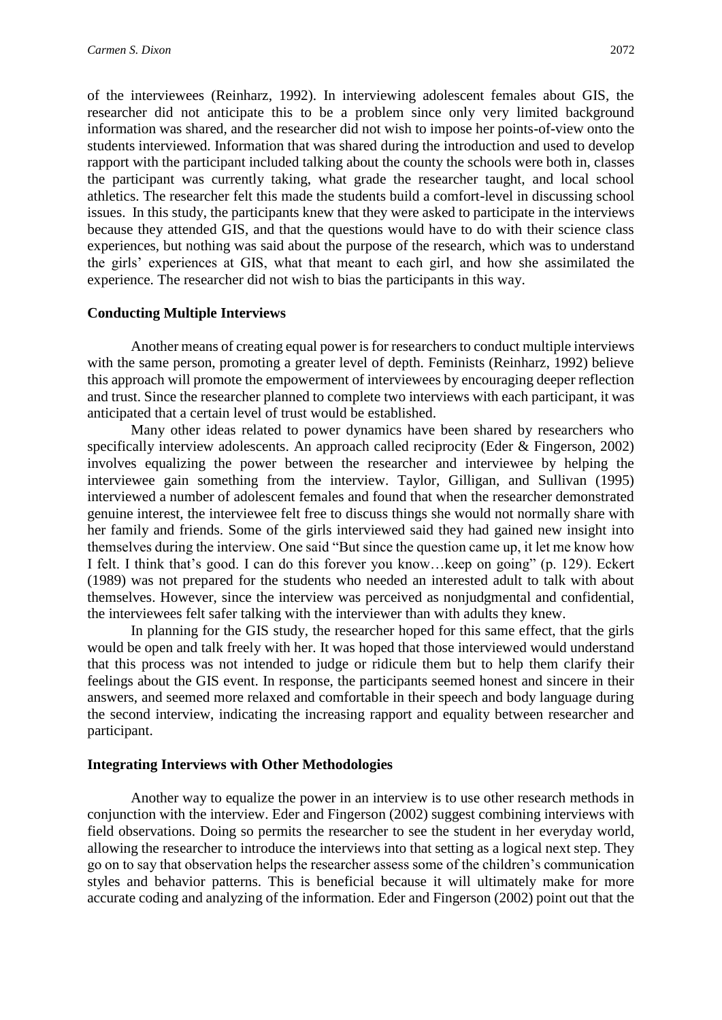of the interviewees (Reinharz, 1992). In interviewing adolescent females about GIS, the researcher did not anticipate this to be a problem since only very limited background information was shared, and the researcher did not wish to impose her points-of-view onto the students interviewed. Information that was shared during the introduction and used to develop rapport with the participant included talking about the county the schools were both in, classes the participant was currently taking, what grade the researcher taught, and local school athletics. The researcher felt this made the students build a comfort-level in discussing school issues. In this study, the participants knew that they were asked to participate in the interviews because they attended GIS, and that the questions would have to do with their science class experiences, but nothing was said about the purpose of the research, which was to understand the girls' experiences at GIS, what that meant to each girl, and how she assimilated the experience. The researcher did not wish to bias the participants in this way.

## **Conducting Multiple Interviews**

Another means of creating equal power is for researchers to conduct multiple interviews with the same person, promoting a greater level of depth. Feminists (Reinharz, 1992) believe this approach will promote the empowerment of interviewees by encouraging deeper reflection and trust. Since the researcher planned to complete two interviews with each participant, it was anticipated that a certain level of trust would be established.

Many other ideas related to power dynamics have been shared by researchers who specifically interview adolescents. An approach called reciprocity (Eder & Fingerson, 2002) involves equalizing the power between the researcher and interviewee by helping the interviewee gain something from the interview. Taylor, Gilligan, and Sullivan (1995) interviewed a number of adolescent females and found that when the researcher demonstrated genuine interest, the interviewee felt free to discuss things she would not normally share with her family and friends. Some of the girls interviewed said they had gained new insight into themselves during the interview. One said "But since the question came up, it let me know how I felt. I think that's good. I can do this forever you know…keep on going" (p. 129). Eckert (1989) was not prepared for the students who needed an interested adult to talk with about themselves. However, since the interview was perceived as nonjudgmental and confidential, the interviewees felt safer talking with the interviewer than with adults they knew.

In planning for the GIS study, the researcher hoped for this same effect, that the girls would be open and talk freely with her. It was hoped that those interviewed would understand that this process was not intended to judge or ridicule them but to help them clarify their feelings about the GIS event. In response, the participants seemed honest and sincere in their answers, and seemed more relaxed and comfortable in their speech and body language during the second interview, indicating the increasing rapport and equality between researcher and participant.

## **Integrating Interviews with Other Methodologies**

Another way to equalize the power in an interview is to use other research methods in conjunction with the interview. Eder and Fingerson (2002) suggest combining interviews with field observations. Doing so permits the researcher to see the student in her everyday world, allowing the researcher to introduce the interviews into that setting as a logical next step. They go on to say that observation helps the researcher assess some of the children's communication styles and behavior patterns. This is beneficial because it will ultimately make for more accurate coding and analyzing of the information. Eder and Fingerson (2002) point out that the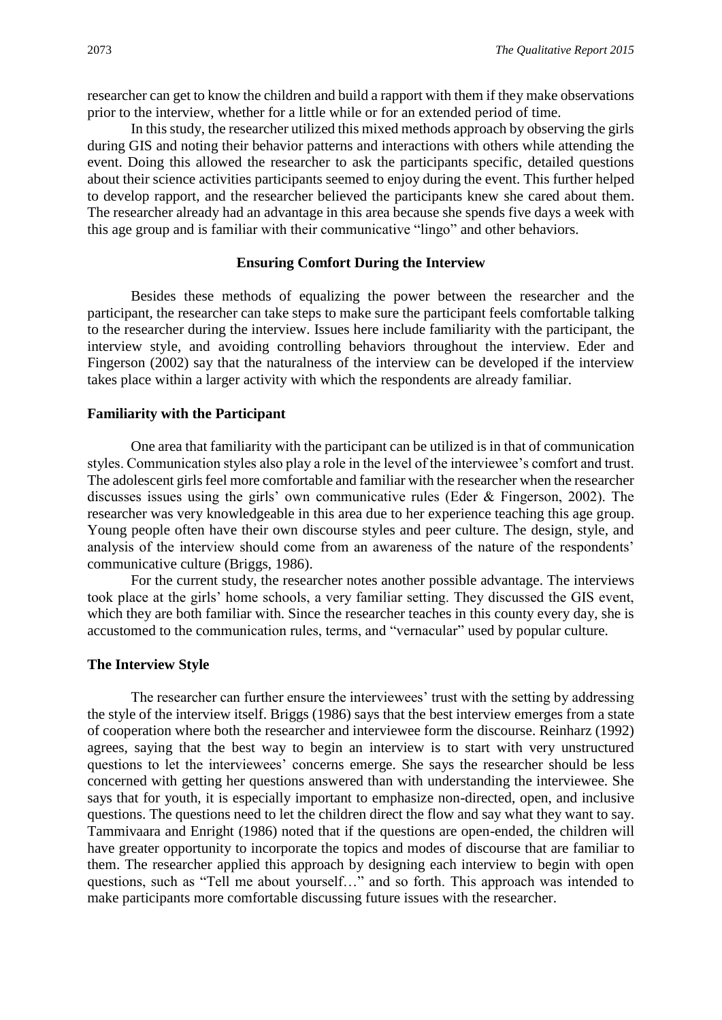researcher can get to know the children and build a rapport with them if they make observations prior to the interview, whether for a little while or for an extended period of time.

In this study, the researcher utilized this mixed methods approach by observing the girls during GIS and noting their behavior patterns and interactions with others while attending the event. Doing this allowed the researcher to ask the participants specific, detailed questions about their science activities participants seemed to enjoy during the event. This further helped to develop rapport, and the researcher believed the participants knew she cared about them. The researcher already had an advantage in this area because she spends five days a week with this age group and is familiar with their communicative "lingo" and other behaviors.

## **Ensuring Comfort During the Interview**

Besides these methods of equalizing the power between the researcher and the participant, the researcher can take steps to make sure the participant feels comfortable talking to the researcher during the interview. Issues here include familiarity with the participant, the interview style, and avoiding controlling behaviors throughout the interview. Eder and Fingerson (2002) say that the naturalness of the interview can be developed if the interview takes place within a larger activity with which the respondents are already familiar.

#### **Familiarity with the Participant**

One area that familiarity with the participant can be utilized is in that of communication styles. Communication styles also play a role in the level of the interviewee's comfort and trust. The adolescent girls feel more comfortable and familiar with the researcher when the researcher discusses issues using the girls' own communicative rules (Eder & Fingerson, 2002). The researcher was very knowledgeable in this area due to her experience teaching this age group. Young people often have their own discourse styles and peer culture. The design, style, and analysis of the interview should come from an awareness of the nature of the respondents' communicative culture (Briggs, 1986).

For the current study, the researcher notes another possible advantage. The interviews took place at the girls' home schools, a very familiar setting. They discussed the GIS event, which they are both familiar with. Since the researcher teaches in this county every day, she is accustomed to the communication rules, terms, and "vernacular" used by popular culture.

#### **The Interview Style**

The researcher can further ensure the interviewees' trust with the setting by addressing the style of the interview itself. Briggs (1986) says that the best interview emerges from a state of cooperation where both the researcher and interviewee form the discourse. Reinharz (1992) agrees, saying that the best way to begin an interview is to start with very unstructured questions to let the interviewees' concerns emerge. She says the researcher should be less concerned with getting her questions answered than with understanding the interviewee. She says that for youth, it is especially important to emphasize non-directed, open, and inclusive questions. The questions need to let the children direct the flow and say what they want to say. Tammivaara and Enright (1986) noted that if the questions are open-ended, the children will have greater opportunity to incorporate the topics and modes of discourse that are familiar to them. The researcher applied this approach by designing each interview to begin with open questions, such as "Tell me about yourself…" and so forth. This approach was intended to make participants more comfortable discussing future issues with the researcher.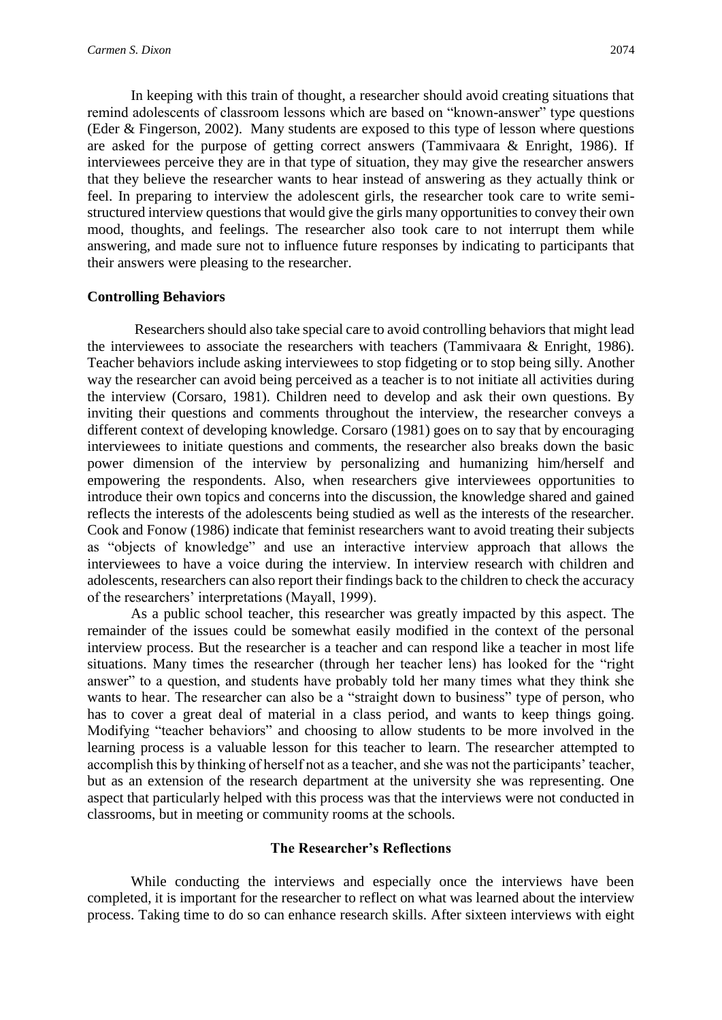In keeping with this train of thought, a researcher should avoid creating situations that remind adolescents of classroom lessons which are based on "known-answer" type questions (Eder & Fingerson, 2002). Many students are exposed to this type of lesson where questions are asked for the purpose of getting correct answers (Tammivaara & Enright, 1986). If interviewees perceive they are in that type of situation, they may give the researcher answers that they believe the researcher wants to hear instead of answering as they actually think or feel. In preparing to interview the adolescent girls, the researcher took care to write semistructured interview questions that would give the girls many opportunities to convey their own mood, thoughts, and feelings. The researcher also took care to not interrupt them while answering, and made sure not to influence future responses by indicating to participants that their answers were pleasing to the researcher.

## **Controlling Behaviors**

Researchers should also take special care to avoid controlling behaviors that might lead the interviewees to associate the researchers with teachers (Tammivaara & Enright, 1986). Teacher behaviors include asking interviewees to stop fidgeting or to stop being silly. Another way the researcher can avoid being perceived as a teacher is to not initiate all activities during the interview (Corsaro, 1981). Children need to develop and ask their own questions. By inviting their questions and comments throughout the interview, the researcher conveys a different context of developing knowledge. Corsaro (1981) goes on to say that by encouraging interviewees to initiate questions and comments, the researcher also breaks down the basic power dimension of the interview by personalizing and humanizing him/herself and empowering the respondents. Also, when researchers give interviewees opportunities to introduce their own topics and concerns into the discussion, the knowledge shared and gained reflects the interests of the adolescents being studied as well as the interests of the researcher. Cook and Fonow (1986) indicate that feminist researchers want to avoid treating their subjects as "objects of knowledge" and use an interactive interview approach that allows the interviewees to have a voice during the interview. In interview research with children and adolescents, researchers can also report their findings back to the children to check the accuracy of the researchers' interpretations (Mayall, 1999).

As a public school teacher, this researcher was greatly impacted by this aspect. The remainder of the issues could be somewhat easily modified in the context of the personal interview process. But the researcher is a teacher and can respond like a teacher in most life situations. Many times the researcher (through her teacher lens) has looked for the "right answer" to a question, and students have probably told her many times what they think she wants to hear. The researcher can also be a "straight down to business" type of person, who has to cover a great deal of material in a class period, and wants to keep things going. Modifying "teacher behaviors" and choosing to allow students to be more involved in the learning process is a valuable lesson for this teacher to learn. The researcher attempted to accomplish this by thinking of herself not as a teacher, and she was not the participants' teacher, but as an extension of the research department at the university she was representing. One aspect that particularly helped with this process was that the interviews were not conducted in classrooms, but in meeting or community rooms at the schools.

## **The Researcher's Reflections**

While conducting the interviews and especially once the interviews have been completed, it is important for the researcher to reflect on what was learned about the interview process. Taking time to do so can enhance research skills. After sixteen interviews with eight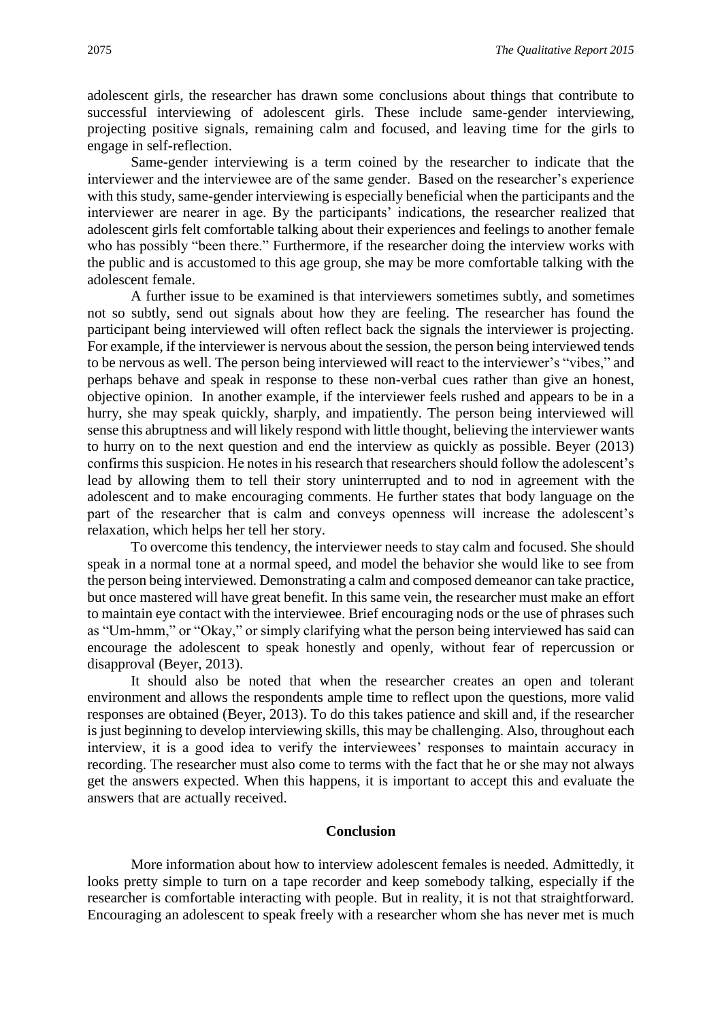adolescent girls, the researcher has drawn some conclusions about things that contribute to successful interviewing of adolescent girls. These include same-gender interviewing, projecting positive signals, remaining calm and focused, and leaving time for the girls to engage in self-reflection.

Same-gender interviewing is a term coined by the researcher to indicate that the interviewer and the interviewee are of the same gender. Based on the researcher's experience with this study, same-gender interviewing is especially beneficial when the participants and the interviewer are nearer in age. By the participants' indications, the researcher realized that adolescent girls felt comfortable talking about their experiences and feelings to another female who has possibly "been there." Furthermore, if the researcher doing the interview works with the public and is accustomed to this age group, she may be more comfortable talking with the adolescent female.

A further issue to be examined is that interviewers sometimes subtly, and sometimes not so subtly, send out signals about how they are feeling. The researcher has found the participant being interviewed will often reflect back the signals the interviewer is projecting. For example, if the interviewer is nervous about the session, the person being interviewed tends to be nervous as well. The person being interviewed will react to the interviewer's "vibes," and perhaps behave and speak in response to these non-verbal cues rather than give an honest, objective opinion. In another example, if the interviewer feels rushed and appears to be in a hurry, she may speak quickly, sharply, and impatiently. The person being interviewed will sense this abruptness and will likely respond with little thought, believing the interviewer wants to hurry on to the next question and end the interview as quickly as possible. Beyer (2013) confirms this suspicion. He notes in his research that researchers should follow the adolescent's lead by allowing them to tell their story uninterrupted and to nod in agreement with the adolescent and to make encouraging comments. He further states that body language on the part of the researcher that is calm and conveys openness will increase the adolescent's relaxation, which helps her tell her story.

To overcome this tendency, the interviewer needs to stay calm and focused. She should speak in a normal tone at a normal speed, and model the behavior she would like to see from the person being interviewed. Demonstrating a calm and composed demeanor can take practice, but once mastered will have great benefit. In this same vein, the researcher must make an effort to maintain eye contact with the interviewee. Brief encouraging nods or the use of phrases such as "Um-hmm," or "Okay," or simply clarifying what the person being interviewed has said can encourage the adolescent to speak honestly and openly, without fear of repercussion or disapproval (Beyer, 2013).

It should also be noted that when the researcher creates an open and tolerant environment and allows the respondents ample time to reflect upon the questions, more valid responses are obtained (Beyer, 2013). To do this takes patience and skill and, if the researcher is just beginning to develop interviewing skills, this may be challenging. Also, throughout each interview, it is a good idea to verify the interviewees' responses to maintain accuracy in recording. The researcher must also come to terms with the fact that he or she may not always get the answers expected. When this happens, it is important to accept this and evaluate the answers that are actually received.

#### **Conclusion**

More information about how to interview adolescent females is needed. Admittedly, it looks pretty simple to turn on a tape recorder and keep somebody talking, especially if the researcher is comfortable interacting with people. But in reality, it is not that straightforward. Encouraging an adolescent to speak freely with a researcher whom she has never met is much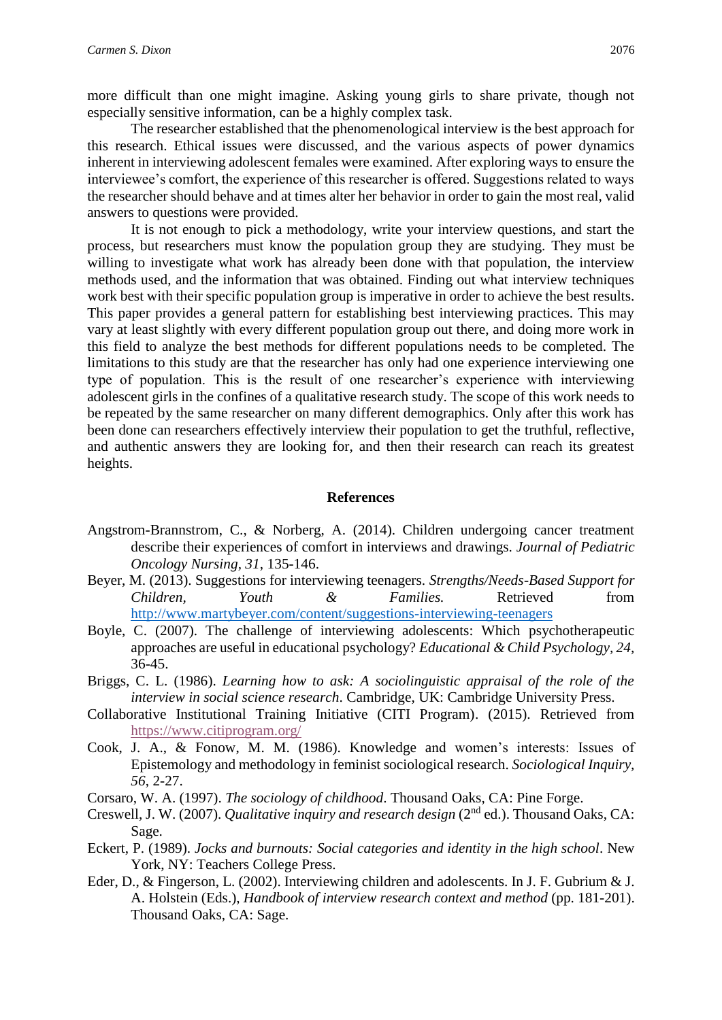more difficult than one might imagine. Asking young girls to share private, though not especially sensitive information, can be a highly complex task.

The researcher established that the phenomenological interview is the best approach for this research. Ethical issues were discussed, and the various aspects of power dynamics inherent in interviewing adolescent females were examined. After exploring ways to ensure the interviewee's comfort, the experience of this researcher is offered. Suggestions related to ways the researcher should behave and at times alter her behavior in order to gain the most real, valid answers to questions were provided.

It is not enough to pick a methodology, write your interview questions, and start the process, but researchers must know the population group they are studying. They must be willing to investigate what work has already been done with that population, the interview methods used, and the information that was obtained. Finding out what interview techniques work best with their specific population group is imperative in order to achieve the best results. This paper provides a general pattern for establishing best interviewing practices. This may vary at least slightly with every different population group out there, and doing more work in this field to analyze the best methods for different populations needs to be completed. The limitations to this study are that the researcher has only had one experience interviewing one type of population. This is the result of one researcher's experience with interviewing adolescent girls in the confines of a qualitative research study. The scope of this work needs to be repeated by the same researcher on many different demographics. Only after this work has been done can researchers effectively interview their population to get the truthful, reflective, and authentic answers they are looking for, and then their research can reach its greatest heights.

#### **References**

- Angstrom-Brannstrom, C., & Norberg, A. (2014). Children undergoing cancer treatment describe their experiences of comfort in interviews and drawings. *Journal of Pediatric Oncology Nursing, 31*, 135-146.
- Beyer, M. (2013). Suggestions for interviewing teenagers. *Strengths/Needs-Based Support for Children, Youth & Families.* Retrieved from <http://www.martybeyer.com/content/suggestions-interviewing-teenagers>
- Boyle, C. (2007). The challenge of interviewing adolescents: Which psychotherapeutic approaches are useful in educational psychology? *Educational & Child Psychology, 24,* 36-45.
- Briggs, C. L. (1986). *Learning how to ask: A sociolinguistic appraisal of the role of the interview in social science research*. Cambridge, UK: Cambridge University Press.
- Collaborative Institutional Training Initiative (CITI Program). (2015). Retrieved from <https://www.citiprogram.org/>
- Cook, J. A., & Fonow, M. M. (1986). Knowledge and women's interests: Issues of Epistemology and methodology in feminist sociological research. *Sociological Inquiry, 56*, 2-27.
- Corsaro, W. A. (1997). *The sociology of childhood*. Thousand Oaks, CA: Pine Forge.
- Creswell, J. W. (2007). *Qualitative inquiry and research design* (2<sup>nd</sup> ed.). Thousand Oaks, CA: Sage.
- Eckert, P. (1989). *Jocks and burnouts: Social categories and identity in the high school*. New York, NY: Teachers College Press.
- Eder, D., & Fingerson, L. (2002). Interviewing children and adolescents. In J. F. Gubrium & J. A. Holstein (Eds.), *Handbook of interview research context and method* (pp. 181-201). Thousand Oaks, CA: Sage.